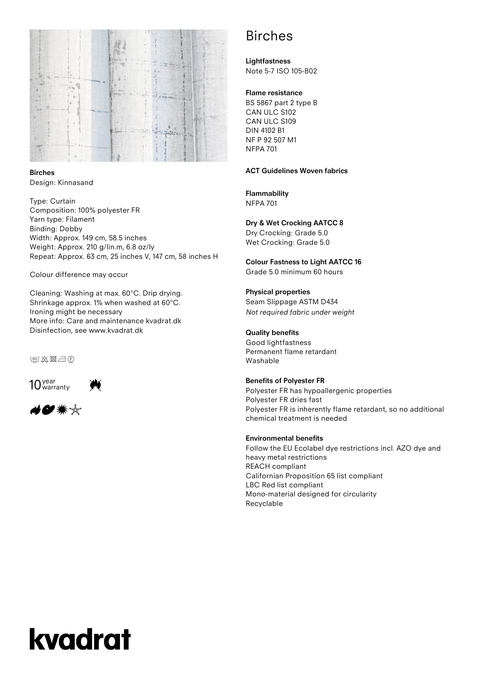

**Birches** Design: Kinnasand

Type: Curtain Composition: 100% polyester FR Yarn type: Filament Binding: Dobby Width: Approx. 149 cm, 58.5 inches Weight: Approx. 210 g/lin.m, 6.8 oz/ly Repeat: Approx. 63 cm, 25 inches V, 147 cm, 58 inches H

Colour difference may occur

Cleaning: Washing at max. 60°C. Drip drying. Shrinkage approx. 1% when washed at 60°C. Ironing might be necessary More info: Care and maintenance kvadrat.dk Disinfection, see www.kvadrat.dk

**Ieol 炎図二①** 





# Birches

**Lightfastness** Note 5-7 ISO 105-B02

# **Flame resistance**

BS 5867 part 2 type B CAN ULC S102 CAN ULC S109 DIN 4102 B1 NF P 92 507 M1 NFPA 701

### **ACT Guidelines Woven fabrics**

# **Flammability**

NFPA 701

# **Dry & Wet Crocking AATCC 8**

Dry Crocking: Grade 5.0 Wet Crocking: Grade 5.0

**Colour Fastness to Light AATCC 16** Grade 5.0 minimum 60 hours

#### **Physical properties**

Seam Slippage ASTM D434 *Not required fabric under weight* 

## **Quality benefits**

Good lightfastness Permanent flame retardant Washable

#### **Benefits of Polyester FR**

Polyester FR has hypoallergenic properties Polyester FR dries fast Polyester FR is inherently flame retardant, so no additional chemical treatment is needed

## **Environmental benefits**

Follow the EU Ecolabel dye restrictions incl. AZO dye and heavy metal restrictions REACH compliant Californian Proposition 65 list compliant LBC Red list compliant Mono-material designed for circularity Recyclable

# kvadrat